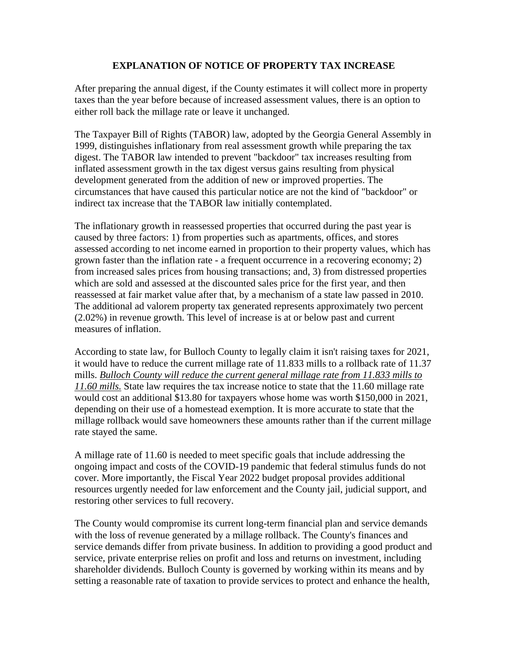## **EXPLANATION OF NOTICE OF PROPERTY TAX INCREASE**

After preparing the annual digest, if the County estimates it will collect more in property taxes than the year before because of increased assessment values, there is an option to either roll back the millage rate or leave it unchanged.

The Taxpayer Bill of Rights (TABOR) law, adopted by the Georgia General Assembly in 1999, distinguishes inflationary from real assessment growth while preparing the tax digest. The TABOR law intended to prevent "backdoor" tax increases resulting from inflated assessment growth in the tax digest versus gains resulting from physical development generated from the addition of new or improved properties. The circumstances that have caused this particular notice are not the kind of "backdoor" or indirect tax increase that the TABOR law initially contemplated.

The inflationary growth in reassessed properties that occurred during the past year is caused by three factors: 1) from properties such as apartments, offices, and stores assessed according to net income earned in proportion to their property values, which has grown faster than the inflation rate - a frequent occurrence in a recovering economy; 2) from increased sales prices from housing transactions; and, 3) from distressed properties which are sold and assessed at the discounted sales price for the first year, and then reassessed at fair market value after that, by a mechanism of a state law passed in 2010. The additional ad valorem property tax generated represents approximately two percent (2.02%) in revenue growth. This level of increase is at or below past and current measures of inflation.

According to state law, for Bulloch County to legally claim it isn't raising taxes for 2021, it would have to reduce the current millage rate of 11.833 mills to a rollback rate of 11.37 mills. *Bulloch County will reduce the current general millage rate from 11.833 mills to 11.60 mills.* State law requires the tax increase notice to state that the 11.60 millage rate would cost an additional \$13.80 for taxpayers whose home was worth \$150,000 in 2021, depending on their use of a homestead exemption. It is more accurate to state that the millage rollback would save homeowners these amounts rather than if the current millage rate stayed the same.

A millage rate of 11.60 is needed to meet specific goals that include addressing the ongoing impact and costs of the COVID-19 pandemic that federal stimulus funds do not cover. More importantly, the Fiscal Year 2022 budget proposal provides additional resources urgently needed for law enforcement and the County jail, judicial support, and restoring other services to full recovery.

The County would compromise its current long-term financial plan and service demands with the loss of revenue generated by a millage rollback. The County's finances and service demands differ from private business. In addition to providing a good product and service, private enterprise relies on profit and loss and returns on investment, including shareholder dividends. Bulloch County is governed by working within its means and by setting a reasonable rate of taxation to provide services to protect and enhance the health,